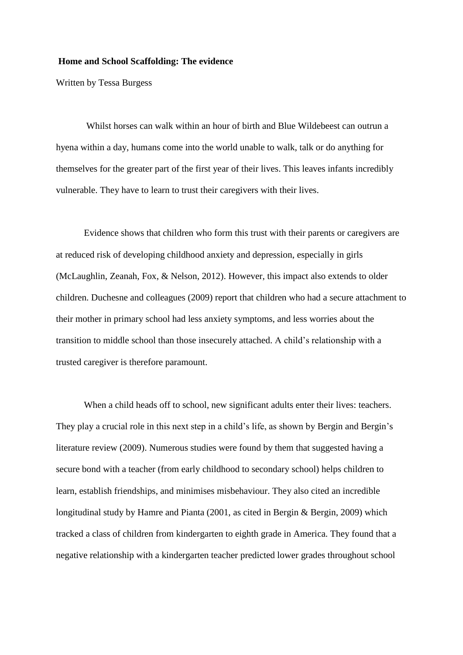## **Home and School Scaffolding: The evidence**

Written by Tessa Burgess

Whilst horses can walk within an hour of birth and Blue Wildebeest can outrun a hyena within a day, humans come into the world unable to walk, talk or do anything for themselves for the greater part of the first year of their lives. This leaves infants incredibly vulnerable. They have to learn to trust their caregivers with their lives.

Evidence shows that children who form this trust with their parents or caregivers are at reduced risk of developing childhood anxiety and depression, especially in girls (McLaughlin, Zeanah, Fox, & Nelson, 2012). However, this impact also extends to older children. Duchesne and colleagues (2009) report that children who had a secure attachment to their mother in primary school had less anxiety symptoms, and less worries about the transition to middle school than those insecurely attached. A child's relationship with a trusted caregiver is therefore paramount.

When a child heads off to school, new significant adults enter their lives: teachers. They play a crucial role in this next step in a child's life, as shown by Bergin and Bergin's literature review (2009). Numerous studies were found by them that suggested having a secure bond with a teacher (from early childhood to secondary school) helps children to learn, establish friendships, and minimises misbehaviour. They also cited an incredible longitudinal study by Hamre and Pianta (2001, as cited in Bergin & Bergin, 2009) which tracked a class of children from kindergarten to eighth grade in America. They found that a negative relationship with a kindergarten teacher predicted lower grades throughout school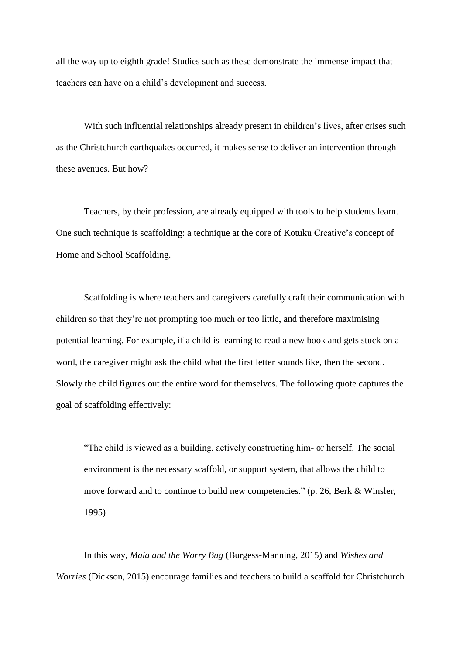all the way up to eighth grade! Studies such as these demonstrate the immense impact that teachers can have on a child's development and success.

With such influential relationships already present in children's lives, after crises such as the Christchurch earthquakes occurred, it makes sense to deliver an intervention through these avenues. But how?

Teachers, by their profession, are already equipped with tools to help students learn. One such technique is scaffolding: a technique at the core of Kotuku Creative's concept of Home and School Scaffolding.

Scaffolding is where teachers and caregivers carefully craft their communication with children so that they're not prompting too much or too little, and therefore maximising potential learning. For example, if a child is learning to read a new book and gets stuck on a word, the caregiver might ask the child what the first letter sounds like, then the second. Slowly the child figures out the entire word for themselves. The following quote captures the goal of scaffolding effectively:

"The child is viewed as a building, actively constructing him- or herself. The social environment is the necessary scaffold, or support system, that allows the child to move forward and to continue to build new competencies." (p. 26, Berk & Winsler, 1995)

In this way, *Maia and the Worry Bug* (Burgess-Manning, 2015) and *Wishes and Worries* (Dickson, 2015) encourage families and teachers to build a scaffold for Christchurch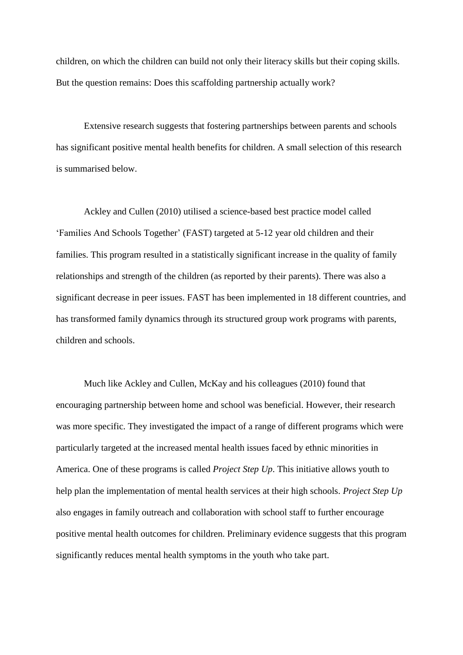children, on which the children can build not only their literacy skills but their coping skills. But the question remains: Does this scaffolding partnership actually work?

Extensive research suggests that fostering partnerships between parents and schools has significant positive mental health benefits for children. A small selection of this research is summarised below.

Ackley and Cullen (2010) utilised a science-based best practice model called 'Families And Schools Together' (FAST) targeted at 5-12 year old children and their families. This program resulted in a statistically significant increase in the quality of family relationships and strength of the children (as reported by their parents). There was also a significant decrease in peer issues. FAST has been implemented in 18 different countries, and has transformed family dynamics through its structured group work programs with parents, children and schools.

Much like Ackley and Cullen, McKay and his colleagues (2010) found that encouraging partnership between home and school was beneficial. However, their research was more specific. They investigated the impact of a range of different programs which were particularly targeted at the increased mental health issues faced by ethnic minorities in America. One of these programs is called *Project Step Up*. This initiative allows youth to help plan the implementation of mental health services at their high schools. *Project Step Up* also engages in family outreach and collaboration with school staff to further encourage positive mental health outcomes for children. Preliminary evidence suggests that this program significantly reduces mental health symptoms in the youth who take part.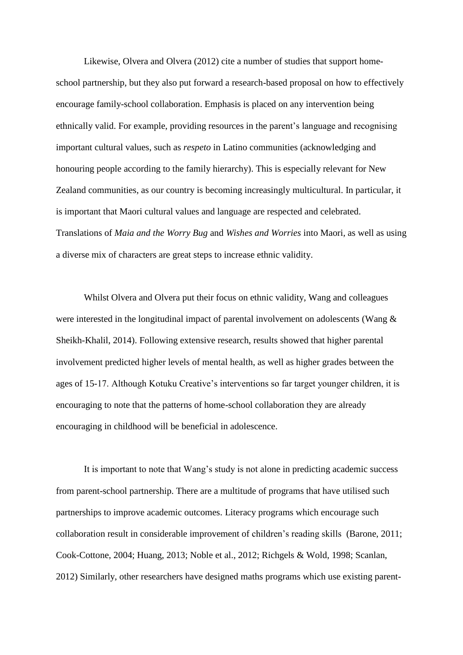Likewise, Olvera and Olvera (2012) cite a number of studies that support homeschool partnership, but they also put forward a research-based proposal on how to effectively encourage family-school collaboration. Emphasis is placed on any intervention being ethnically valid. For example, providing resources in the parent's language and recognising important cultural values, such as *respeto* in Latino communities (acknowledging and honouring people according to the family hierarchy). This is especially relevant for New Zealand communities, as our country is becoming increasingly multicultural. In particular, it is important that Maori cultural values and language are respected and celebrated. Translations of *Maia and the Worry Bug* and *Wishes and Worries* into Maori*,* as well as using a diverse mix of characters are great steps to increase ethnic validity.

Whilst Olvera and Olvera put their focus on ethnic validity, Wang and colleagues were interested in the longitudinal impact of parental involvement on adolescents (Wang & Sheikh-Khalil, 2014). Following extensive research, results showed that higher parental involvement predicted higher levels of mental health, as well as higher grades between the ages of 15-17. Although Kotuku Creative's interventions so far target younger children, it is encouraging to note that the patterns of home-school collaboration they are already encouraging in childhood will be beneficial in adolescence.

It is important to note that Wang's study is not alone in predicting academic success from parent-school partnership. There are a multitude of programs that have utilised such partnerships to improve academic outcomes. Literacy programs which encourage such collaboration result in considerable improvement of children's reading skills (Barone, 2011; Cook-Cottone, 2004; Huang, 2013; Noble et al., 2012; Richgels & Wold, 1998; Scanlan, 2012) Similarly, other researchers have designed maths programs which use existing parent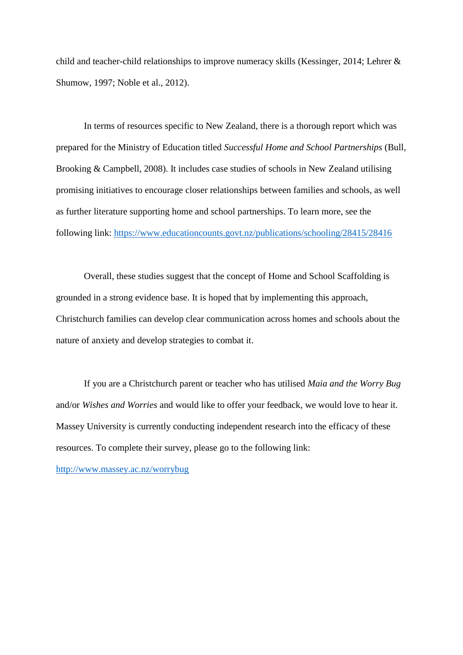child and teacher-child relationships to improve numeracy skills (Kessinger, 2014; Lehrer & Shumow, 1997; Noble et al., 2012).

In terms of resources specific to New Zealand, there is a thorough report which was prepared for the Ministry of Education titled *Successful Home and School Partnerships* (Bull, Brooking & Campbell, 2008). It includes case studies of schools in New Zealand utilising promising initiatives to encourage closer relationships between families and schools, as well as further literature supporting home and school partnerships. To learn more, see the following link:<https://www.educationcounts.govt.nz/publications/schooling/28415/28416>

Overall, these studies suggest that the concept of Home and School Scaffolding is grounded in a strong evidence base. It is hoped that by implementing this approach, Christchurch families can develop clear communication across homes and schools about the nature of anxiety and develop strategies to combat it.

If you are a Christchurch parent or teacher who has utilised *Maia and the Worry Bug*  and/or *Wishes and Worries* and would like to offer your feedback, we would love to hear it. Massey University is currently conducting independent research into the efficacy of these resources. To complete their survey, please go to the following link:

<http://www.massey.ac.nz/worrybug>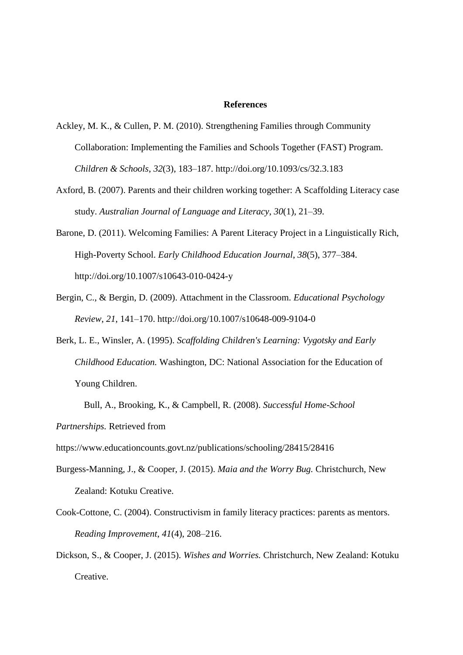## **References**

- Ackley, M. K., & Cullen, P. M. (2010). Strengthening Families through Community Collaboration: Implementing the Families and Schools Together (FAST) Program. *Children & Schools*, *32*(3), 183–187. http://doi.org/10.1093/cs/32.3.183
- Axford, B. (2007). Parents and their children working together: A Scaffolding Literacy case study. *Australian Journal of Language and Literacy*, *30*(1), 21–39.
- Barone, D. (2011). Welcoming Families: A Parent Literacy Project in a Linguistically Rich, High-Poverty School. *Early Childhood Education Journal*, *38*(5), 377–384. http://doi.org/10.1007/s10643-010-0424-y
- Bergin, C., & Bergin, D. (2009). Attachment in the Classroom. *Educational Psychology Review*, *21*, 141–170. http://doi.org/10.1007/s10648-009-9104-0
- Berk, L. E., Winsler, A. (1995). *Scaffolding Children's Learning: Vygotsky and Early Childhood Education.* Washington, DC: National Association for the Education of Young Children.

*Partnerships.* Retrieved from

https://www.educationcounts.govt.nz/publications/schooling/28415/28416

- Burgess-Manning, J., & Cooper, J. (2015). *Maia and the Worry Bug.* Christchurch, New Zealand: Kotuku Creative.
- Cook-Cottone, C. (2004). Constructivism in family literacy practices: parents as mentors. *Reading Improvement*, *41*(4), 208–216.
- Dickson, S., & Cooper, J. (2015). *Wishes and Worries.* Christchurch, New Zealand: Kotuku Creative.

Bull, A., Brooking, K., & Campbell, R. (2008). *Successful Home-School*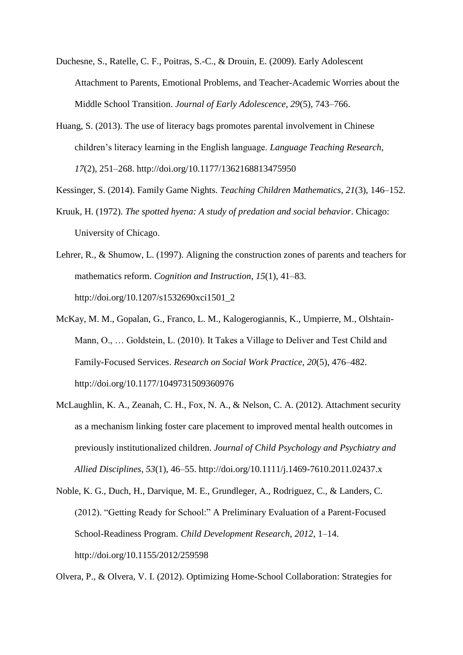- Duchesne, S., Ratelle, C. F., Poitras, S.-C., & Drouin, E. (2009). Early Adolescent Attachment to Parents, Emotional Problems, and Teacher-Academic Worries about the Middle School Transition. *Journal of Early Adolescence*, *29*(5), 743–766.
- Huang, S. (2013). The use of literacy bags promotes parental involvement in Chinese children's literacy learning in the English language. *Language Teaching Research*, *17*(2), 251–268. http://doi.org/10.1177/1362168813475950
- Kessinger, S. (2014). Family Game Nights. *Teaching Children Mathematics*, *21*(3), 146–152.
- Kruuk, H. (1972). *The spotted hyena: A study of predation and social behavior*. Chicago: University of Chicago.
- Lehrer, R., & Shumow, L. (1997). Aligning the construction zones of parents and teachers for mathematics reform. *Cognition and Instruction*, *15*(1), 41–83. http://doi.org/10.1207/s1532690xci1501\_2
- McKay, M. M., Gopalan, G., Franco, L. M., Kalogerogiannis, K., Umpierre, M., Olshtain-Mann, O., … Goldstein, L. (2010). It Takes a Village to Deliver and Test Child and Family-Focused Services. *Research on Social Work Practice*, *20*(5), 476–482. http://doi.org/10.1177/1049731509360976
- McLaughlin, K. A., Zeanah, C. H., Fox, N. A., & Nelson, C. A. (2012). Attachment security as a mechanism linking foster care placement to improved mental health outcomes in previously institutionalized children. *Journal of Child Psychology and Psychiatry and Allied Disciplines*, *53*(1), 46–55. http://doi.org/10.1111/j.1469-7610.2011.02437.x
- Noble, K. G., Duch, H., Darvique, M. E., Grundleger, A., Rodriguez, C., & Landers, C. (2012). "Getting Ready for School:" A Preliminary Evaluation of a Parent-Focused School-Readiness Program. *Child Development Research*, *2012*, 1–14. http://doi.org/10.1155/2012/259598

Olvera, P., & Olvera, V. I. (2012). Optimizing Home-School Collaboration: Strategies for